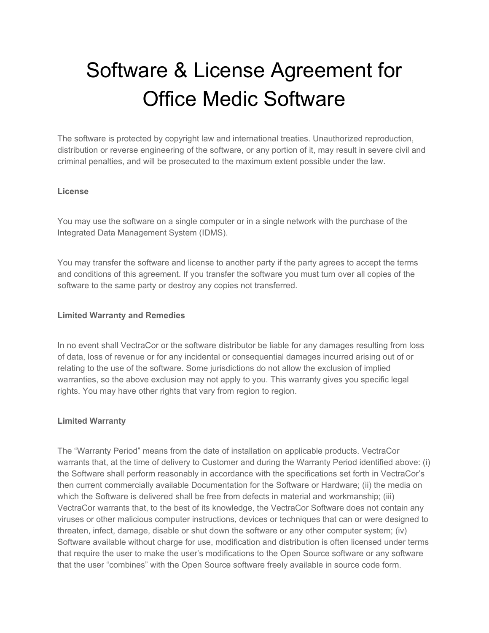# Software & License Agreement for Office Medic Software

The software is protected by copyright law and international treaties. Unauthorized reproduction, distribution or reverse engineering of the software, or any portion of it, may result in severe civil and criminal penalties, and will be prosecuted to the maximum extent possible under the law.

#### **License**

You may use the software on a single computer or in a single network with the purchase of the Integrated Data Management System (IDMS).

You may transfer the software and license to another party if the party agrees to accept the terms and conditions of this agreement. If you transfer the software you must turn over all copies of the software to the same party or destroy any copies not transferred.

#### **Limited Warranty and Remedies**

In no event shall VectraCor or the software distributor be liable for any damages resulting from loss of data, loss of revenue or for any incidental or consequential damages incurred arising out of or relating to the use of the software. Some jurisdictions do not allow the exclusion of implied warranties, so the above exclusion may not apply to you. This warranty gives you specific legal rights. You may have other rights that vary from region to region.

## **Limited Warranty**

The "Warranty Period" means from the date of installation on applicable products. VectraCor warrants that, at the time of delivery to Customer and during the Warranty Period identified above: (i) the Software shall perform reasonably in accordance with the specifications set forth in VectraCor's then current commercially available Documentation for the Software or Hardware; (ii) the media on which the Software is delivered shall be free from defects in material and workmanship; (iii) VectraCor warrants that, to the best of its knowledge, the VectraCor Software does not contain any viruses or other malicious computer instructions, devices or techniques that can or were designed to threaten, infect, damage, disable or shut down the software or any other computer system; (iv) Software available without charge for use, modification and distribution is often licensed under terms that require the user to make the user's modifications to the Open Source software or any software that the user "combines" with the Open Source software freely available in source code form.